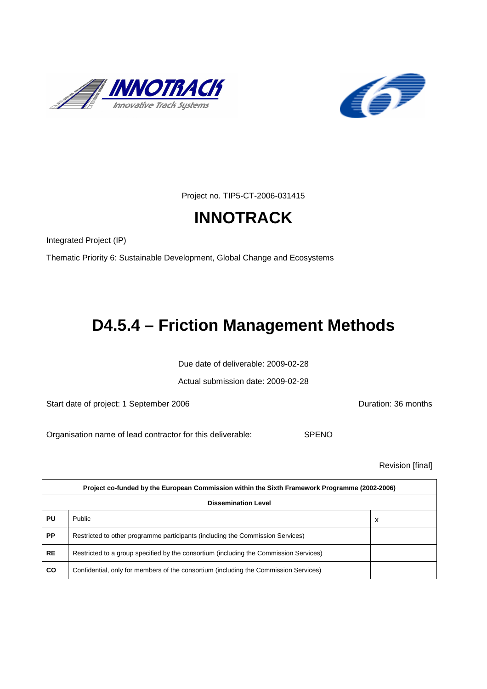



Project no. TIP5-CT-2006-031415

# **INNOTRACK**

Integrated Project (IP)

Thematic Priority 6: Sustainable Development, Global Change and Ecosystems

# **D4.5.4 – Friction Management Methods**

Due date of deliverable: 2009-02-28

Actual submission date: 2009-02-28

Start date of project: 1 September 2006 **Duration: 36 months** 

Organisation name of lead contractor for this deliverable: SPENO

Revision [final]

| Project co-funded by the European Commission within the Sixth Framework Programme (2002-2006) |                                                                                       |   |  |
|-----------------------------------------------------------------------------------------------|---------------------------------------------------------------------------------------|---|--|
| <b>Dissemination Level</b>                                                                    |                                                                                       |   |  |
| PU                                                                                            | Public                                                                                | x |  |
| <b>PP</b>                                                                                     | Restricted to other programme participants (including the Commission Services)        |   |  |
| <b>RE</b>                                                                                     | Restricted to a group specified by the consortium (including the Commission Services) |   |  |
| <b>CO</b>                                                                                     | Confidential, only for members of the consortium (including the Commission Services)  |   |  |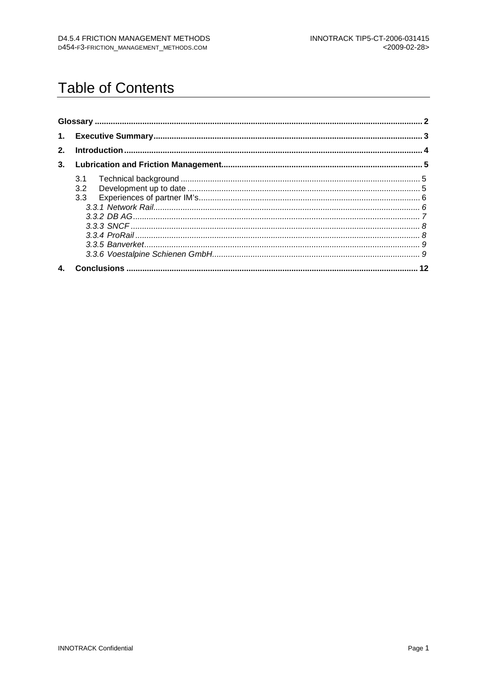# **Table of Contents**

| 2.           |            |  |  |
|--------------|------------|--|--|
| 3.           |            |  |  |
|              | 3.1<br>3.2 |  |  |
| $\mathbf{4}$ |            |  |  |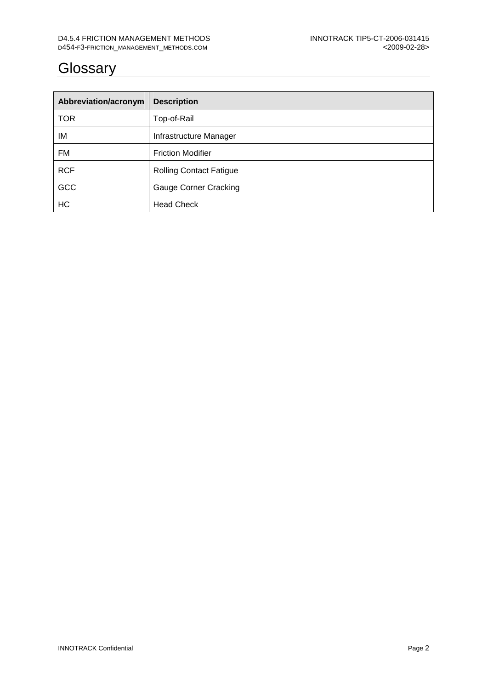# **Glossary**

| Abbreviation/acronym | <b>Description</b>             |
|----------------------|--------------------------------|
| <b>TOR</b>           | Top-of-Rail                    |
| IM                   | Infrastructure Manager         |
| FM                   | <b>Friction Modifier</b>       |
| <b>RCF</b>           | <b>Rolling Contact Fatigue</b> |
| <b>GCC</b>           | <b>Gauge Corner Cracking</b>   |
| HC                   | <b>Head Check</b>              |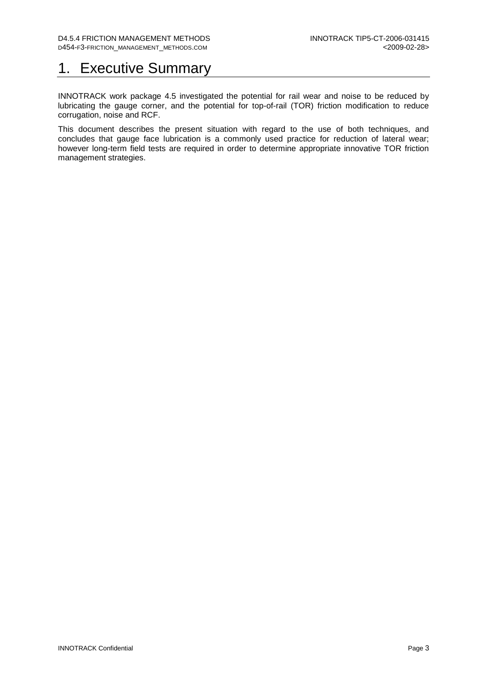## 1. Executive Summary

INNOTRACK work package 4.5 investigated the potential for rail wear and noise to be reduced by lubricating the gauge corner, and the potential for top-of-rail (TOR) friction modification to reduce corrugation, noise and RCF.

This document describes the present situation with regard to the use of both techniques, and concludes that gauge face lubrication is a commonly used practice for reduction of lateral wear; however long-term field tests are required in order to determine appropriate innovative TOR friction management strategies.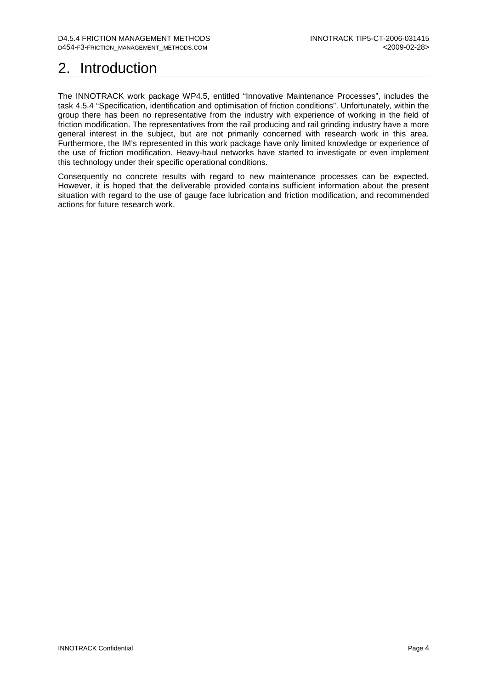# 2. Introduction

The INNOTRACK work package WP4.5, entitled "Innovative Maintenance Processes", includes the task 4.5.4 "Specification, identification and optimisation of friction conditions". Unfortunately, within the group there has been no representative from the industry with experience of working in the field of friction modification. The representatives from the rail producing and rail grinding industry have a more general interest in the subject, but are not primarily concerned with research work in this area. Furthermore, the IM's represented in this work package have only limited knowledge or experience of the use of friction modification. Heavy-haul networks have started to investigate or even implement this technology under their specific operational conditions.

Consequently no concrete results with regard to new maintenance processes can be expected. However, it is hoped that the deliverable provided contains sufficient information about the present situation with regard to the use of gauge face lubrication and friction modification, and recommended actions for future research work.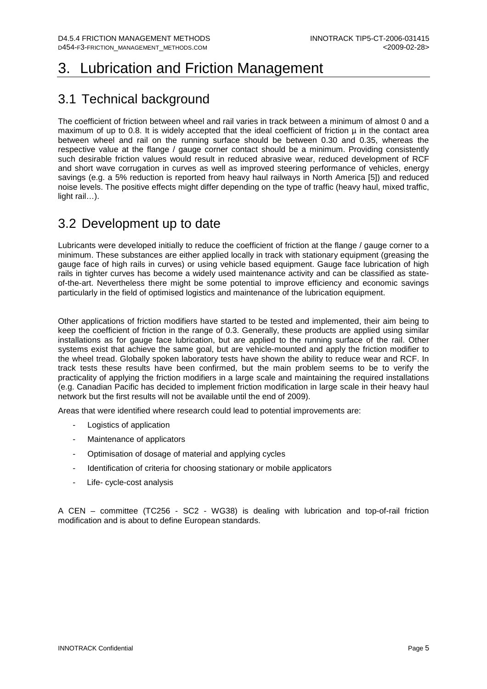## 3. Lubrication and Friction Management

## 3.1 Technical background

The coefficient of friction between wheel and rail varies in track between a minimum of almost 0 and a maximum of up to 0.8. It is widely accepted that the ideal coefficient of friction  $\mu$  in the contact area between wheel and rail on the running surface should be between 0.30 and 0.35, whereas the respective value at the flange / gauge corner contact should be a minimum. Providing consistently such desirable friction values would result in reduced abrasive wear, reduced development of RCF and short wave corrugation in curves as well as improved steering performance of vehicles, energy savings (e.g. a 5% reduction is reported from heavy haul railways in North America [5]) and reduced noise levels. The positive effects might differ depending on the type of traffic (heavy haul, mixed traffic, light rail…).

## 3.2 Development up to date

Lubricants were developed initially to reduce the coefficient of friction at the flange / gauge corner to a minimum. These substances are either applied locally in track with stationary equipment (greasing the gauge face of high rails in curves) or using vehicle based equipment. Gauge face lubrication of high rails in tighter curves has become a widely used maintenance activity and can be classified as stateof-the-art. Nevertheless there might be some potential to improve efficiency and economic savings particularly in the field of optimised logistics and maintenance of the lubrication equipment.

Other applications of friction modifiers have started to be tested and implemented, their aim being to keep the coefficient of friction in the range of 0.3. Generally, these products are applied using similar installations as for gauge face lubrication, but are applied to the running surface of the rail. Other systems exist that achieve the same goal, but are vehicle-mounted and apply the friction modifier to the wheel tread. Globally spoken laboratory tests have shown the ability to reduce wear and RCF. In track tests these results have been confirmed, but the main problem seems to be to verify the practicality of applying the friction modifiers in a large scale and maintaining the required installations (e.g. Canadian Pacific has decided to implement friction modification in large scale in their heavy haul network but the first results will not be available until the end of 2009).

Areas that were identified where research could lead to potential improvements are:

- Logistics of application
- Maintenance of applicators
- Optimisation of dosage of material and applying cycles
- Identification of criteria for choosing stationary or mobile applicators
- Life- cycle-cost analysis

A CEN – committee (TC256 - SC2 - WG38) is dealing with lubrication and top-of-rail friction modification and is about to define European standards.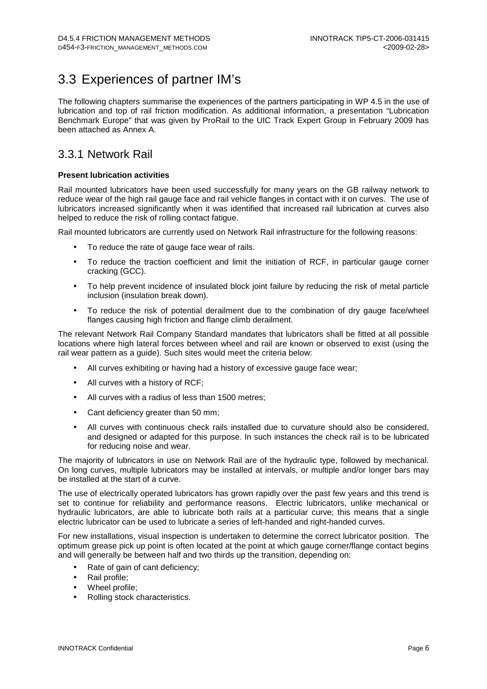## 3.3 Experiences of partner IM's

The following chapters summarise the experiences of the partners participating in WP 4.5 in the use of lubrication and top of rail friction modification. As additional information, a presentation "Lubrication Benchmark Europe" that was given by ProRail to the UIC Track Expert Group in February 2009 has been attached as Annex A.

### 3.3.1 Network Rail

### **Present lubrication activities**

Rail mounted lubricators have been used successfully for many years on the GB railway network to reduce wear of the high rail gauge face and rail vehicle flanges in contact with it on curves. The use of lubricators increased significantly when it was identified that increased rail lubrication at curves also helped to reduce the risk of rolling contact fatigue.

Rail mounted lubricators are currently used on Network Rail infrastructure for the following reasons:

- To reduce the rate of gauge face wear of rails.
- To reduce the traction coefficient and limit the initiation of RCF, in particular gauge corner cracking (GCC).
- To help prevent incidence of insulated block joint failure by reducing the risk of metal particle inclusion (insulation break down).
- To reduce the risk of potential derailment due to the combination of dry gauge face/wheel flanges causing high friction and flange climb derailment.

The relevant Network Rail Company Standard mandates that lubricators shall be fitted at all possible locations where high lateral forces between wheel and rail are known or observed to exist (using the rail wear pattern as a guide). Such sites would meet the criteria below:

- All curves exhibiting or having had a history of excessive gauge face wear;
- All curves with a history of RCF;
- All curves with a radius of less than 1500 metres;
- Cant deficiency greater than 50 mm;
- All curves with continuous check rails installed due to curvature should also be considered. and designed or adapted for this purpose. In such instances the check rail is to be lubricated for reducing noise and wear.

The majority of lubricators in use on Network Rail are of the hydraulic type, followed by mechanical. On long curves, multiple lubricators may be installed at intervals, or multiple and/or longer bars may be installed at the start of a curve.

The use of electrically operated lubricators has grown rapidly over the past few years and this trend is set to continue for reliability and performance reasons. Electric lubricators, unlike mechanical or hydraulic lubricators, are able to lubricate both rails at a particular curve; this means that a single electric lubricator can be used to lubricate a series of left-handed and right-handed curves.

For new installations, visual inspection is undertaken to determine the correct lubricator position. The optimum grease pick up point is often located at the point at which gauge corner/flange contact begins and will generally be between half and two thirds up the transition, depending on:

- Rate of gain of cant deficiency;
- Rail profile;
- Wheel profile:
- Rolling stock characteristics.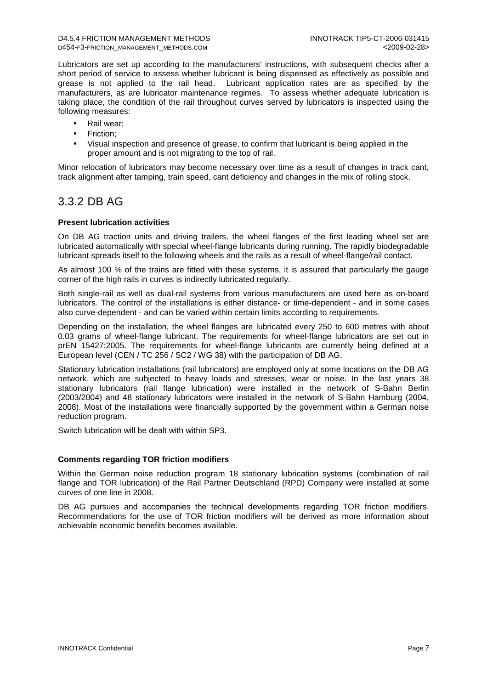Lubricators are set up according to the manufacturers' instructions, with subsequent checks after a short period of service to assess whether lubricant is being dispensed as effectively as possible and grease is not applied to the rail head. Lubricant application rates are as specified by the manufacturers, as are lubricator maintenance regimes. To assess whether adequate lubrication is taking place, the condition of the rail throughout curves served by lubricators is inspected using the following measures:

- Rail wear:
- Friction;
- Visual inspection and presence of grease, to confirm that lubricant is being applied in the proper amount and is not migrating to the top of rail.

Minor relocation of lubricators may become necessary over time as a result of changes in track cant, track alignment after tamping, train speed, cant deficiency and changes in the mix of rolling stock.

### 3.3.2 DB AG

### **Present lubrication activities**

On DB AG traction units and driving trailers, the wheel flanges of the first leading wheel set are lubricated automatically with special wheel-flange lubricants during running. The rapidly biodegradable lubricant spreads itself to the following wheels and the rails as a result of wheel-flange/rail contact.

As almost 100 % of the trains are fitted with these systems, it is assured that particularly the gauge corner of the high rails in curves is indirectly lubricated regularly.

Both single-rail as well as dual-rail systems from various manufacturers are used here as on-board lubricators. The control of the installations is either distance- or time-dependent - and in some cases also curve-dependent - and can be varied within certain limits according to requirements.

Depending on the installation, the wheel flanges are lubricated every 250 to 600 metres with about 0.03 grams of wheel-flange lubricant. The requirements for wheel-flange lubricators are set out in prEN 15427:2005. The requirements for wheel-flange lubricants are currently being defined at a European level (CEN / TC 256 / SC2 / WG 38) with the participation of DB AG.

Stationary lubrication installations (rail lubricators) are employed only at some locations on the DB AG network, which are subjected to heavy loads and stresses, wear or noise. In the last years 38 stationary lubricators (rail flange lubrication) were installed in the network of S-Bahn Berlin (2003/2004) and 48 stationary lubricators were installed in the network of S-Bahn Hamburg (2004, 2008). Most of the installations were financially supported by the government within a German noise reduction program.

Switch lubrication will be dealt with within SP3.

#### **Comments regarding TOR friction modifiers**

Within the German noise reduction program 18 stationary lubrication systems (combination of rail flange and TOR lubrication) of the Rail Partner Deutschland (RPD) Company were installed at some curves of one line in 2008.

DB AG pursues and accompanies the technical developments regarding TOR friction modifiers. Recommendations for the use of TOR friction modifiers will be derived as more information about achievable economic benefits becomes available.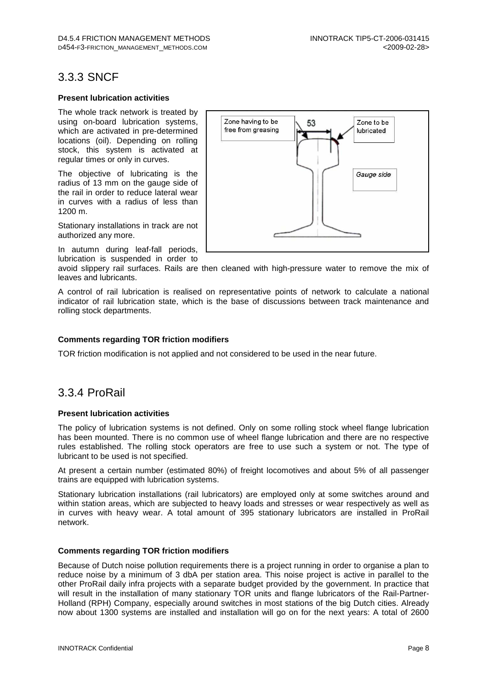### 3.3.3 SNCF

#### **Present lubrication activities**

The whole track network is treated by using on-board lubrication systems, which are activated in pre-determined locations (oil). Depending on rolling stock, this system is activated at regular times or only in curves.

The objective of lubricating is the radius of 13 mm on the gauge side of the rail in order to reduce lateral wear in curves with a radius of less than 1200 m.

Stationary installations in track are not authorized any more.

In autumn during leaf-fall periods, lubrication is suspended in order to



avoid slippery rail surfaces. Rails are then cleaned with high-pressure water to remove the mix of leaves and lubricants.

A control of rail lubrication is realised on representative points of network to calculate a national indicator of rail lubrication state, which is the base of discussions between track maintenance and rolling stock departments.

### **Comments regarding TOR friction modifiers**

TOR friction modification is not applied and not considered to be used in the near future.

### 3.3.4 ProRail

### **Present lubrication activities**

The policy of lubrication systems is not defined. Only on some rolling stock wheel flange lubrication has been mounted. There is no common use of wheel flange lubrication and there are no respective rules established. The rolling stock operators are free to use such a system or not. The type of lubricant to be used is not specified.

At present a certain number (estimated 80%) of freight locomotives and about 5% of all passenger trains are equipped with lubrication systems.

Stationary lubrication installations (rail lubricators) are employed only at some switches around and within station areas, which are subjected to heavy loads and stresses or wear respectively as well as in curves with heavy wear. A total amount of 395 stationary lubricators are installed in ProRail network.

### **Comments regarding TOR friction modifiers**

Because of Dutch noise pollution requirements there is a project running in order to organise a plan to reduce noise by a minimum of 3 dbA per station area. This noise project is active in parallel to the other ProRail daily infra projects with a separate budget provided by the government. In practice that will result in the installation of many stationary TOR units and flange lubricators of the Rail-Partner-Holland (RPH) Company, especially around switches in most stations of the big Dutch cities. Already now about 1300 systems are installed and installation will go on for the next years: A total of 2600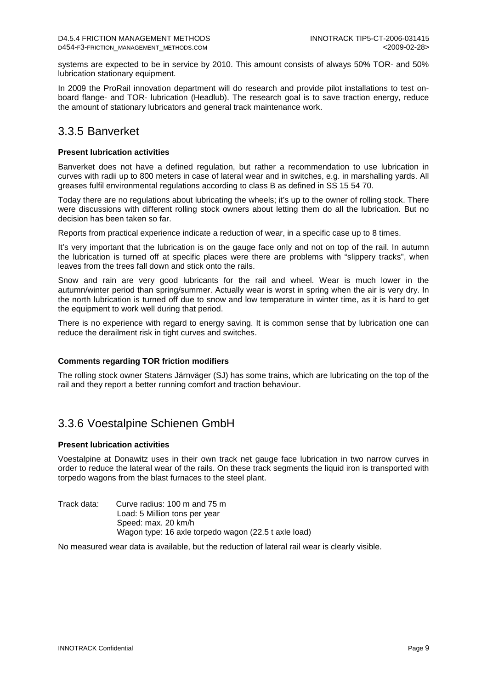systems are expected to be in service by 2010. This amount consists of always 50% TOR- and 50% lubrication stationary equipment.

In 2009 the ProRail innovation department will do research and provide pilot installations to test onboard flange- and TOR- lubrication (Headlub). The research goal is to save traction energy, reduce the amount of stationary lubricators and general track maintenance work.

### 3.3.5 Banverket

### **Present lubrication activities**

Banverket does not have a defined regulation, but rather a recommendation to use lubrication in curves with radii up to 800 meters in case of lateral wear and in switches, e.g. in marshalling yards. All greases fulfil environmental regulations according to class B as defined in SS 15 54 70.

Today there are no regulations about lubricating the wheels; it's up to the owner of rolling stock. There were discussions with different rolling stock owners about letting them do all the lubrication. But no decision has been taken so far.

Reports from practical experience indicate a reduction of wear, in a specific case up to 8 times.

It's very important that the lubrication is on the gauge face only and not on top of the rail. In autumn the lubrication is turned off at specific places were there are problems with "slippery tracks", when leaves from the trees fall down and stick onto the rails.

Snow and rain are very good lubricants for the rail and wheel. Wear is much lower in the autumn/winter period than spring/summer. Actually wear is worst in spring when the air is very dry. In the north lubrication is turned off due to snow and low temperature in winter time, as it is hard to get the equipment to work well during that period.

There is no experience with regard to energy saving. It is common sense that by lubrication one can reduce the derailment risk in tight curves and switches.

#### **Comments regarding TOR friction modifiers**

The rolling stock owner Statens Järnväger (SJ) has some trains, which are lubricating on the top of the rail and they report a better running comfort and traction behaviour.

### 3.3.6 Voestalpine Schienen GmbH

### **Present lubrication activities**

Voestalpine at Donawitz uses in their own track net gauge face lubrication in two narrow curves in order to reduce the lateral wear of the rails. On these track segments the liquid iron is transported with torpedo wagons from the blast furnaces to the steel plant.

Track data: Curve radius: 100 m and 75 m Load: 5 Million tons per year Speed: max. 20 km/h Wagon type: 16 axle torpedo wagon (22.5 t axle load)

No measured wear data is available, but the reduction of lateral rail wear is clearly visible.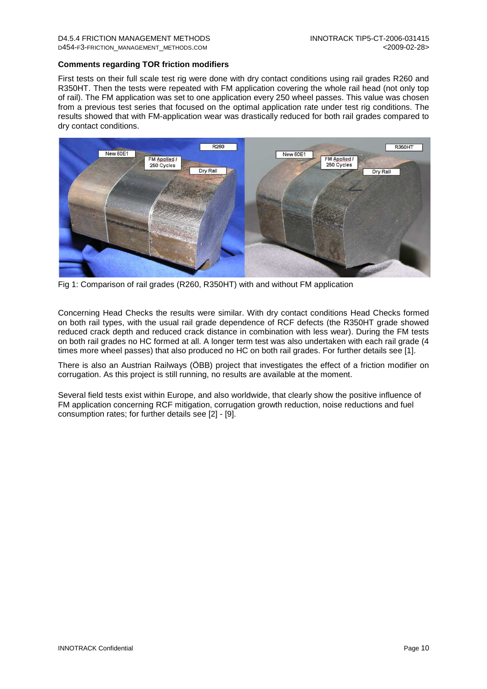### **Comments regarding TOR friction modifiers**

First tests on their full scale test rig were done with dry contact conditions using rail grades R260 and R350HT. Then the tests were repeated with FM application covering the whole rail head (not only top of rail). The FM application was set to one application every 250 wheel passes. This value was chosen from a previous test series that focused on the optimal application rate under test rig conditions. The results showed that with FM-application wear was drastically reduced for both rail grades compared to dry contact conditions.



Fig 1: Comparison of rail grades (R260, R350HT) with and without FM application

Concerning Head Checks the results were similar. With dry contact conditions Head Checks formed on both rail types, with the usual rail grade dependence of RCF defects (the R350HT grade showed reduced crack depth and reduced crack distance in combination with less wear). During the FM tests on both rail grades no HC formed at all. A longer term test was also undertaken with each rail grade (4 times more wheel passes) that also produced no HC on both rail grades. For further details see [1].

There is also an Austrian Railways (ÖBB) project that investigates the effect of a friction modifier on corrugation. As this project is still running, no results are available at the moment.

Several field tests exist within Europe, and also worldwide, that clearly show the positive influence of FM application concerning RCF mitigation, corrugation growth reduction, noise reductions and fuel consumption rates; for further details see [2] - [9].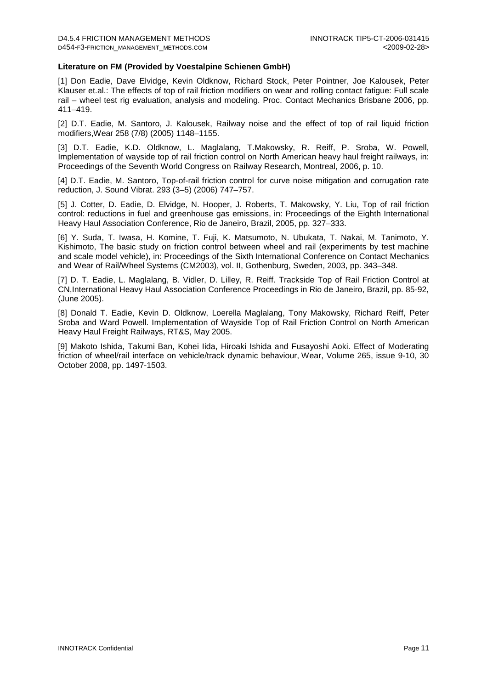#### **Literature on FM (Provided by Voestalpine Schienen GmbH)**

[1] Don Eadie, Dave Elvidge, Kevin Oldknow, Richard Stock, Peter Pointner, Joe Kalousek, Peter Klauser et.al.: The effects of top of rail friction modifiers on wear and rolling contact fatigue: Full scale rail – wheel test rig evaluation, analysis and modeling. Proc. Contact Mechanics Brisbane 2006, pp. 411–419.

[2] D.T. Eadie, M. Santoro, J. Kalousek, Railway noise and the effect of top of rail liquid friction modifiers,Wear 258 (7/8) (2005) 1148–1155.

[3] D.T. Eadie, K.D. Oldknow, L. Maglalang, T.Makowsky, R. Reiff, P. Sroba, W. Powell, Implementation of wayside top of rail friction control on North American heavy haul freight railways, in: Proceedings of the Seventh World Congress on Railway Research, Montreal, 2006, p. 10.

[4] D.T. Eadie, M. Santoro, Top-of-rail friction control for curve noise mitigation and corrugation rate reduction, J. Sound Vibrat. 293 (3–5) (2006) 747–757.

[5] J. Cotter, D. Eadie, D. Elvidge, N. Hooper, J. Roberts, T. Makowsky, Y. Liu, Top of rail friction control: reductions in fuel and greenhouse gas emissions, in: Proceedings of the Eighth International Heavy Haul Association Conference, Rio de Janeiro, Brazil, 2005, pp. 327–333.

[6] Y. Suda, T. Iwasa, H. Komine, T. Fuji, K. Matsumoto, N. Ubukata, T. Nakai, M. Tanimoto, Y. Kishimoto, The basic study on friction control between wheel and rail (experiments by test machine and scale model vehicle), in: Proceedings of the Sixth International Conference on Contact Mechanics and Wear of Rail/Wheel Systems (CM2003), vol. II, Gothenburg, Sweden, 2003, pp. 343–348.

[7] D. T. Eadie, L. Maglalang, B. Vidler, D. Lilley, R. Reiff. Trackside Top of Rail Friction Control at CN,International Heavy Haul Association Conference Proceedings in Rio de Janeiro, Brazil, pp. 85-92, (June 2005).

[8] Donald T. Eadie, Kevin D. Oldknow, Loerella Maglalang, Tony Makowsky, Richard Reiff, Peter Sroba and Ward Powell. Implementation of Wayside Top of Rail Friction Control on North American Heavy Haul Freight Railways, RT&S, May 2005.

[9] Makoto Ishida, Takumi Ban, Kohei Iida, Hiroaki Ishida and Fusayoshi Aoki. Effect of Moderating friction of wheel/rail interface on vehicle/track dynamic behaviour, Wear, Volume 265, issue 9-10, 30 October 2008, pp. 1497-1503.